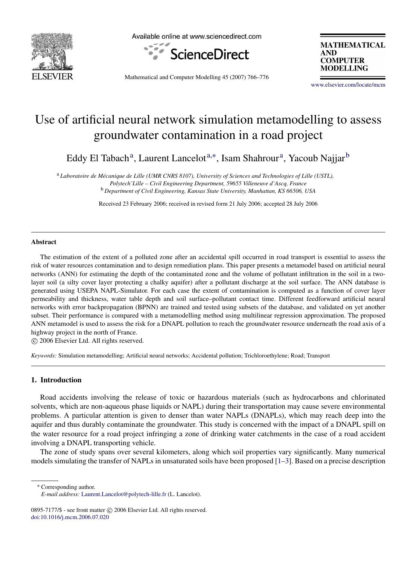

Available online at www.sciencedirect.com



**MATHEMATICAL AND COMPUTER MODELLING** 

Mathematical and Computer Modelling 45 (2007) 766–776

[www.elsevier.com/locate/mcm](http://www.elsevier.com/locate/mcm)

## Use of artificial neural network simulation metamodelling to assess groundwater contamination in a road project

Eddy El T[a](#page-0-0)bach<sup>a</sup>, Laurent Lancelot<sup>[a,](#page-0-0)[∗](#page-0-1)</sup>, Isam Shahrour<sup>a</sup>, Yacou[b](#page-0-2) Najjar<sup>b</sup>

<span id="page-0-0"></span><sup>a</sup> *Laboratoire de Mecanique de Lille (UMR CNRS 8107), University of Sciences and Technologies of Lille (USTL), ´ Polytech'Lille – Civil Engineering Department, 59655 Villeneuve d'Ascq, France* <sup>b</sup> *Department of Civil Engineering, Kansas State University, Manhattan, KS 66506, USA*

<span id="page-0-2"></span>Received 23 February 2006; received in revised form 21 July 2006; accepted 28 July 2006

#### Abstract

The estimation of the extent of a polluted zone after an accidental spill occurred in road transport is essential to assess the risk of water resources contamination and to design remediation plans. This paper presents a metamodel based on artificial neural networks (ANN) for estimating the depth of the contaminated zone and the volume of pollutant infiltration in the soil in a twolayer soil (a silty cover layer protecting a chalky aquifer) after a pollutant discharge at the soil surface. The ANN database is generated using USEPA NAPL-Simulator. For each case the extent of contamination is computed as a function of cover layer permeability and thickness, water table depth and soil surface–pollutant contact time. Different feedforward artificial neural networks with error backpropagation (BPNN) are trained and tested using subsets of the database, and validated on yet another subset. Their performance is compared with a metamodelling method using multilinear regression approximation. The proposed ANN metamodel is used to assess the risk for a DNAPL pollution to reach the groundwater resource underneath the road axis of a highway project in the north of France.

c 2006 Elsevier Ltd. All rights reserved.

*Keywords:* Simulation metamodelling; Artificial neural networks; Accidental pollution; Trichloroethylene; Road; Transport

### 1. Introduction

Road accidents involving the release of toxic or hazardous materials (such as hydrocarbons and chlorinated solvents, which are non-aqueous phase liquids or NAPL) during their transportation may cause severe environmental problems. A particular attention is given to denser than water NAPLs (DNAPLs), which may reach deep into the aquifer and thus durably contaminate the groundwater. This study is concerned with the impact of a DNAPL spill on the water resource for a road project infringing a zone of drinking water catchments in the case of a road accident involving a DNAPL transporting vehicle.

The zone of study spans over several kilometers, along which soil properties vary significantly. Many numerical models simulating the transfer of NAPLs in unsaturated soils have been proposed [\[1–3\]](#page--1-0). Based on a precise description

<span id="page-0-1"></span><sup>∗</sup> Corresponding author.

*E-mail address:* [Laurent.Lancelot@polytech-lille.fr](mailto:Laurent.Lancelot@polytech-lille.fr) (L. Lancelot).

<sup>0895-7177/\$ -</sup> see front matter © 2006 Elsevier Ltd. All rights reserved. [doi:10.1016/j.mcm.2006.07.020](http://dx.doi.org/10.1016/j.mcm.2006.07.020)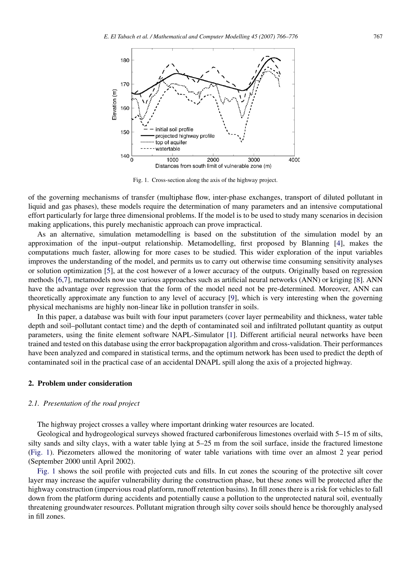<span id="page-1-0"></span>

Fig. 1. Cross-section along the axis of the highway project.

of the governing mechanisms of transfer (multiphase flow, inter-phase exchanges, transport of diluted pollutant in liquid and gas phases), these models require the determination of many parameters and an intensive computational effort particularly for large three dimensional problems. If the model is to be used to study many scenarios in decision making applications, this purely mechanistic approach can prove impractical.

As an alternative, simulation metamodelling is based on the substitution of the simulation model by an approximation of the input–output relationship. Metamodelling, first proposed by Blanning [\[4\]](#page--1-1), makes the computations much faster, allowing for more cases to be studied. This wider exploration of the input variables improves the understanding of the model, and permits us to carry out otherwise time consuming sensitivity analyses or solution optimization [\[5\]](#page--1-2), at the cost however of a lower accuracy of the outputs. Originally based on regression methods [\[6](#page--1-3)[,7\]](#page--1-4), metamodels now use various approaches such as artificial neural networks (ANN) or kriging [\[8\]](#page--1-5). ANN have the advantage over regression that the form of the model need not be pre-determined. Moreover, ANN can theoretically approximate any function to any level of accuracy [\[9\]](#page--1-6), which is very interesting when the governing physical mechanisms are highly non-linear like in pollution transfer in soils.

In this paper, a database was built with four input parameters (cover layer permeability and thickness, water table depth and soil–pollutant contact time) and the depth of contaminated soil and infiltrated pollutant quantity as output parameters, using the finite element software NAPL-Simulator [\[1\]](#page--1-0). Different artificial neural networks have been trained and tested on this database using the error backpropagation algorithm and cross-validation. Their performances have been analyzed and compared in statistical terms, and the optimum network has been used to predict the depth of contaminated soil in the practical case of an accidental DNAPL spill along the axis of a projected highway.

#### 2. Problem under consideration

### *2.1. Presentation of the road project*

The highway project crosses a valley where important drinking water resources are located.

Geological and hydrogeological surveys showed fractured carboniferous limestones overlaid with 5–15 m of silts, silty sands and silty clays, with a water table lying at 5–25 m from the soil surface, inside the fractured limestone [\(Fig. 1\)](#page-1-0). Piezometers allowed the monitoring of water table variations with time over an almost 2 year period (September 2000 until April 2002).

[Fig. 1](#page-1-0) shows the soil profile with projected cuts and fills. In cut zones the scouring of the protective silt cover layer may increase the aquifer vulnerability during the construction phase, but these zones will be protected after the highway construction (impervious road platform, runoff retention basins). In fill zones there is a risk for vehicles to fall down from the platform during accidents and potentially cause a pollution to the unprotected natural soil, eventually threatening groundwater resources. Pollutant migration through silty cover soils should hence be thoroughly analysed in fill zones.